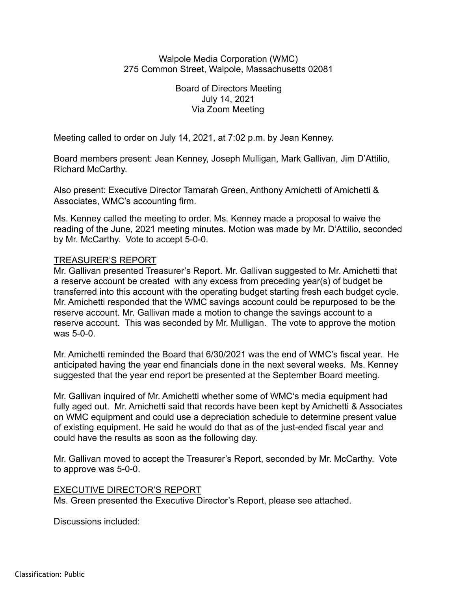Walpole Media Corporation (WMC) 275 Common Street, Walpole, Massachusetts 02081

> Board of Directors Meeting July 14, 2021 Via Zoom Meeting

Meeting called to order on July 14, 2021, at 7:02 p.m. by Jean Kenney.

Board members present: Jean Kenney, Joseph Mulligan, Mark Gallivan, Jim D'Attilio, Richard McCarthy.

Also present: Executive Director Tamarah Green, Anthony Amichetti of Amichetti & Associates, WMC's accounting firm.

Ms. Kenney called the meeting to order. Ms. Kenney made a proposal to waive the reading of the June, 2021 meeting minutes. Motion was made by Mr. D'Attilio, seconded by Mr. McCarthy. Vote to accept 5-0-0.

## TREASURER'S REPORT

Mr. Gallivan presented Treasurer's Report. Mr. Gallivan suggested to Mr. Amichetti that a reserve account be created with any excess from preceding year(s) of budget be transferred into this account with the operating budget starting fresh each budget cycle. Mr. Amichetti responded that the WMC savings account could be repurposed to be the reserve account. Mr. Gallivan made a motion to change the savings account to a reserve account. This was seconded by Mr. Mulligan. The vote to approve the motion was 5-0-0.

Mr. Amichetti reminded the Board that 6/30/2021 was the end of WMC's fiscal year. He anticipated having the year end financials done in the next several weeks. Ms. Kenney suggested that the year end report be presented at the September Board meeting.

Mr. Gallivan inquired of Mr. Amichetti whether some of WMC's media equipment had fully aged out. Mr. Amichetti said that records have been kept by Amichetti & Associates on WMC equipment and could use a depreciation schedule to determine present value of existing equipment. He said he would do that as of the just-ended fiscal year and could have the results as soon as the following day.

Mr. Gallivan moved to accept the Treasurer's Report, seconded by Mr. McCarthy. Vote to approve was 5-0-0.

## EXECUTIVE DIRECTOR'S REPORT

Ms. Green presented the Executive Director's Report, please see attached.

Discussions included: